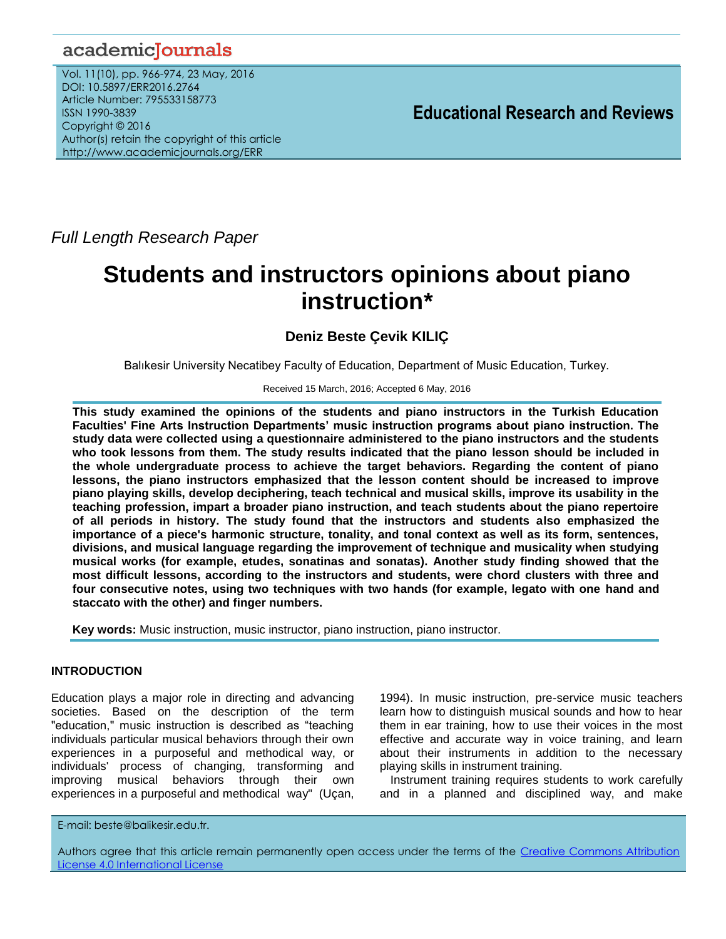# academicJournals

Vol. 11(10), pp. 966-974, 23 May, 2016 DOI: 10.5897/ERR2016.2764 Article Number: 795533158773 ISSN 1990-3839 Copyright © 2016 Author(s) retain the copyright of this article http://www.academicjournals.org/ERR

**Educational Research and Reviews**

*Full Length Research Paper*

# **Students and instructors opinions about piano instruction\***

# **Deniz Beste Çevik KILIÇ**

Balıkesir University Necatibey Faculty of Education, Department of Music Education, Turkey.

#### Received 15 March, 2016; Accepted 6 May, 2016

**This study examined the opinions of the students and piano instructors in the Turkish Education Faculties' Fine Arts Instruction Departments' music instruction programs about piano instruction. The study data were collected using a questionnaire administered to the piano instructors and the students who took lessons from them. The study results indicated that the piano lesson should be included in the whole undergraduate process to achieve the target behaviors. Regarding the content of piano lessons, the piano instructors emphasized that the lesson content should be increased to improve piano playing skills, develop deciphering, teach technical and musical skills, improve its usability in the teaching profession, impart a broader piano instruction, and teach students about the piano repertoire of all periods in history. The study found that the instructors and students also emphasized the importance of a piece's harmonic structure, tonality, and tonal context as well as its form, sentences, divisions, and musical language regarding the improvement of technique and musicality when studying musical works (for example, etudes, sonatinas and sonatas). Another study finding showed that the most difficult lessons, according to the instructors and students, were chord clusters with three and four consecutive notes, using two techniques with two hands (for example, legato with one hand and staccato with the other) and finger numbers.** 

**Key words:** Music instruction, music instructor, piano instruction, piano instructor.

# **INTRODUCTION**

Education plays a major role in directing and advancing societies. Based on the description of the term "education," music instruction is described as "teaching individuals particular musical behaviors through their own experiences in a purposeful and methodical way, or individuals' process of changing, transforming and improving musical behaviors through their own experiences in a purposeful and methodical way" (Uçan,

1994). In music instruction, pre-service music teachers learn how to distinguish musical sounds and how to hear them in ear training, how to use their voices in the most effective and accurate way in voice training, and learn about their instruments in addition to the necessary playing skills in instrument training.

Instrument training requires students to work carefully and in a planned and disciplined way, and make

E-mail: beste@balikesir.edu.tr.

Authors agree that this article remain permanently open access under the terms of the [Creative Commons Attribution](file://192.168.1.24/reading/Arts%20and%20Education/ERR/2014/sept/read/Correction%20Pdf%201/ERR-17.04.14-1816/Publication/Creative%20Co)  [License 4.0 International License](file://192.168.1.24/reading/Arts%20and%20Education/ERR/2014/sept/read/Correction%20Pdf%201/ERR-17.04.14-1816/Publication/Creative%20Co)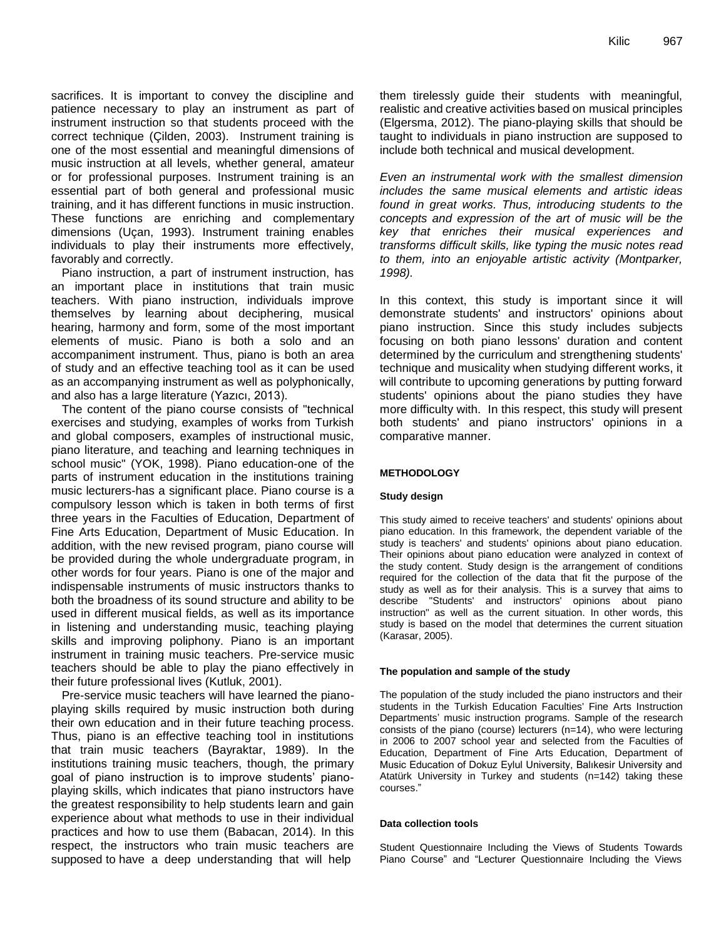sacrifices. It is important to convey the discipline and patience necessary to play an instrument as part of instrument instruction so that students proceed with the correct technique (Çilden, 2003). Instrument training is one of the most essential and meaningful dimensions of music instruction at all levels, whether general, amateur or for professional purposes. Instrument training is an essential part of both general and professional music training, and it has different functions in music instruction. These functions are enriching and complementary dimensions (Uçan, 1993). Instrument training enables individuals to play their instruments more effectively, favorably and correctly.

Piano instruction, a part of instrument instruction, has an important place in institutions that train music teachers. With piano instruction, individuals improve themselves by learning about deciphering, musical hearing, harmony and form, some of the most important elements of music. Piano is both a solo and an accompaniment instrument. Thus, piano is both an area of study and an effective teaching tool as it can be used as an accompanying instrument as well as polyphonically, and also has a large literature (Yazıcı, 2013).

The content of the piano course consists of "technical exercises and studying, examples of works from Turkish and global composers, examples of instructional music, piano literature, and teaching and learning techniques in school music" (YOK, 1998). Piano education-one of the parts of instrument education in the institutions training music lecturers-has a significant place. Piano course is a compulsory lesson which is taken in both terms of first three years in the Faculties of Education, Department of Fine Arts Education, Department of Music Education. In addition, with the new revised program, piano course will be provided during the whole undergraduate program, in other words for four years. Piano is one of the major and indispensable instruments of music instructors thanks to both the broadness of its sound structure and ability to be used in different musical fields, as well as its importance in listening and understanding music, teaching playing skills and improving poliphony. Piano is an important instrument in training music teachers. Pre-service music teachers should be able to play the piano effectively in their future professional lives (Kutluk, 2001).

Pre-service music teachers will have learned the pianoplaying skills required by music instruction both during their own education and in their future teaching process. Thus, piano is an effective teaching tool in institutions that train music teachers (Bayraktar, 1989). In the institutions training music teachers, though, the primary goal of piano instruction is to improve students" pianoplaying skills, which indicates that piano instructors have the greatest responsibility to help students learn and gain experience about what methods to use in their individual practices and how to use them (Babacan, 2014). In this respect, the instructors who train music teachers are supposed to have a deep understanding that will help

them tirelessly guide their students with meaningful, realistic and creative activities based on musical principles (Elgersma, 2012). The piano-playing skills that should be taught to individuals in piano instruction are supposed to include both technical and musical development.

*Even an instrumental work with the smallest dimension includes the same musical elements and artistic ideas found in great works. Thus, introducing students to the concepts and expression of the art of music will be the key that enriches their musical experiences and transforms difficult skills, like typing the music notes read to them, into an enjoyable artistic activity (Montparker, 1998).*

In this context, this study is important since it will demonstrate students' and instructors' opinions about piano instruction. Since this study includes subjects focusing on both piano lessons' duration and content determined by the curriculum and strengthening students' technique and musicality when studying different works, it will contribute to upcoming generations by putting forward students' opinions about the piano studies they have more difficulty with. In this respect, this study will present both students' and piano instructors' opinions in a comparative manner.

#### **METHODOLOGY**

#### **Study design**

This study aimed to receive teachers' and students' opinions about piano education. In this framework, the dependent variable of the study is teachers' and students' opinions about piano education. Their opinions about piano education were analyzed in context of the study content. Study design is the arrangement of conditions required for the collection of the data that fit the purpose of the study as well as for their analysis. This is a survey that aims to describe "Students' and instructors' opinions about piano instruction" as well as the current situation. In other words, this study is based on the model that determines the current situation (Karasar, 2005).

#### **The population and sample of the study**

The population of the study included the piano instructors and their students in the Turkish Education Faculties' Fine Arts Instruction Departments' music instruction programs. Sample of the research consists of the piano (course) lecturers (n=14), who were lecturing in 2006 to 2007 school year and selected from the Faculties of Education, Department of Fine Arts Education, Department of Music Education of Dokuz Eylul University, Balıkesir University and Atatürk University in Turkey and students (n=142) taking these courses."

#### **Data collection tools**

Student Questionnaire Including the Views of Students Towards Piano Course" and "Lecturer Questionnaire Including the Views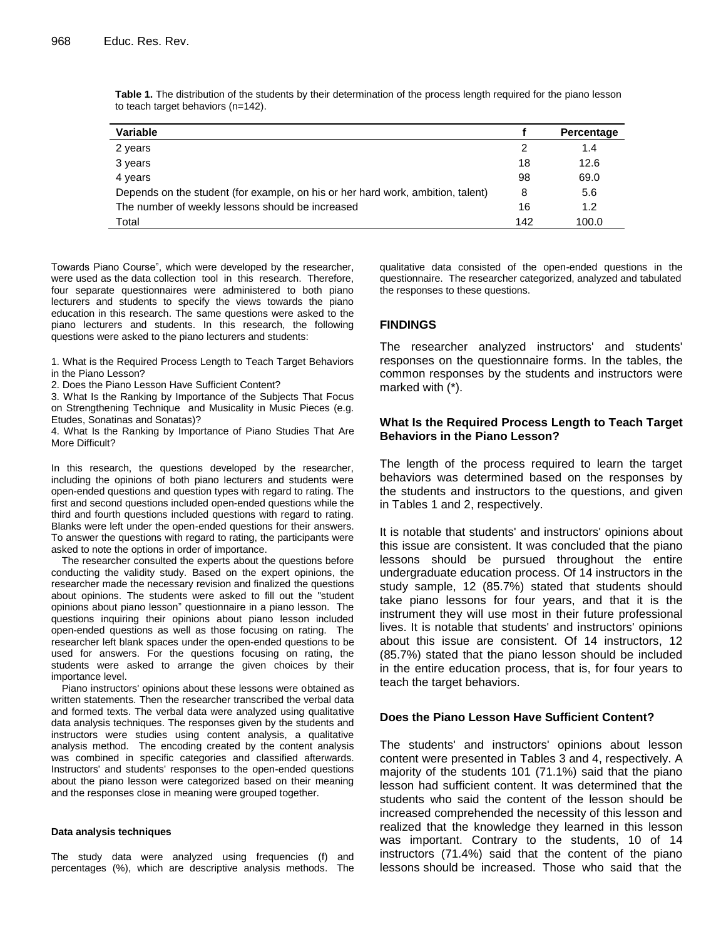| <b>Variable</b>                                                                 |     | Percentage |
|---------------------------------------------------------------------------------|-----|------------|
| 2 years                                                                         | 2   | 1.4        |
| 3 years                                                                         | 18  | 12.6       |
| 4 years                                                                         | 98  | 69.0       |
| Depends on the student (for example, on his or her hard work, ambition, talent) | 8   | 5.6        |
| The number of weekly lessons should be increased                                | 16  | 1.2        |
| Total                                                                           | 142 | 100.0      |

**Table 1.** The distribution of the students by their determination of the process length required for the piano lesson to teach target behaviors (n=142).

Towards Piano Course", which were developed by the researcher, were used as the data collection tool in this research. Therefore, four separate questionnaires were administered to both piano lecturers and students to specify the views towards the piano education in this research. The same questions were asked to the piano lecturers and students. In this research, the following questions were asked to the piano lecturers and students:

1. What is the Required Process Length to Teach Target Behaviors in the Piano Lesson?

2. Does the Piano Lesson Have Sufficient Content?

3. What Is the Ranking by Importance of the Subjects That Focus on Strengthening Technique and Musicality in Music Pieces (e.g. Etudes, Sonatinas and Sonatas)?

4. What Is the Ranking by Importance of Piano Studies That Are More Difficult?

In this research, the questions developed by the researcher, including the opinions of both piano lecturers and students were open-ended questions and question types with regard to rating. The first and second questions included open-ended questions while the third and fourth questions included questions with regard to rating. Blanks were left under the open-ended questions for their answers. To answer the questions with regard to rating, the participants were asked to note the options in order of importance.

The researcher consulted the experts about the questions before conducting the validity study. Based on the expert opinions, the researcher made the necessary revision and finalized the questions about opinions. The students were asked to fill out the "student opinions about piano lesson" questionnaire in a piano lesson. The questions inquiring their opinions about piano lesson included open-ended questions as well as those focusing on rating. The researcher left blank spaces under the open-ended questions to be used for answers. For the questions focusing on rating, the students were asked to arrange the given choices by their importance level.

Piano instructors' opinions about these lessons were obtained as written statements. Then the researcher transcribed the verbal data and formed texts. The verbal data were analyzed using qualitative data analysis techniques. The responses given by the students and instructors were studies using content analysis, a qualitative analysis method. The encoding created by the content analysis was combined in specific categories and classified afterwards. Instructors' and students' responses to the open-ended questions about the piano lesson were categorized based on their meaning and the responses close in meaning were grouped together.

#### **Data analysis techniques**

The study data were analyzed using frequencies (f) and percentages (%), which are descriptive analysis methods. The qualitative data consisted of the open-ended questions in the questionnaire. The researcher categorized, analyzed and tabulated the responses to these questions.

#### **FINDINGS**

The researcher analyzed instructors' and students' responses on the questionnaire forms. In the tables, the common responses by the students and instructors were marked with (\*).

#### **What Is the Required Process Length to Teach Target Behaviors in the Piano Lesson?**

The length of the process required to learn the target behaviors was determined based on the responses by the students and instructors to the questions, and given in Tables 1 and 2, respectively.

It is notable that students' and instructors' opinions about this issue are consistent. It was concluded that the piano lessons should be pursued throughout the entire undergraduate education process. Of 14 instructors in the study sample, 12 (85.7%) stated that students should take piano lessons for four years, and that it is the instrument they will use most in their future professional lives. It is notable that students' and instructors' opinions about this issue are consistent. Of 14 instructors, 12 (85.7%) stated that the piano lesson should be included in the entire education process, that is, for four years to teach the target behaviors.

#### **Does the Piano Lesson Have Sufficient Content?**

The students' and instructors' opinions about lesson content were presented in Tables 3 and 4, respectively. A majority of the students 101 (71.1%) said that the piano lesson had sufficient content. It was determined that the students who said the content of the lesson should be increased comprehended the necessity of this lesson and realized that the knowledge they learned in this lesson was important. Contrary to the students, 10 of 14 instructors (71.4%) said that the content of the piano lessons should be increased. Those who said that the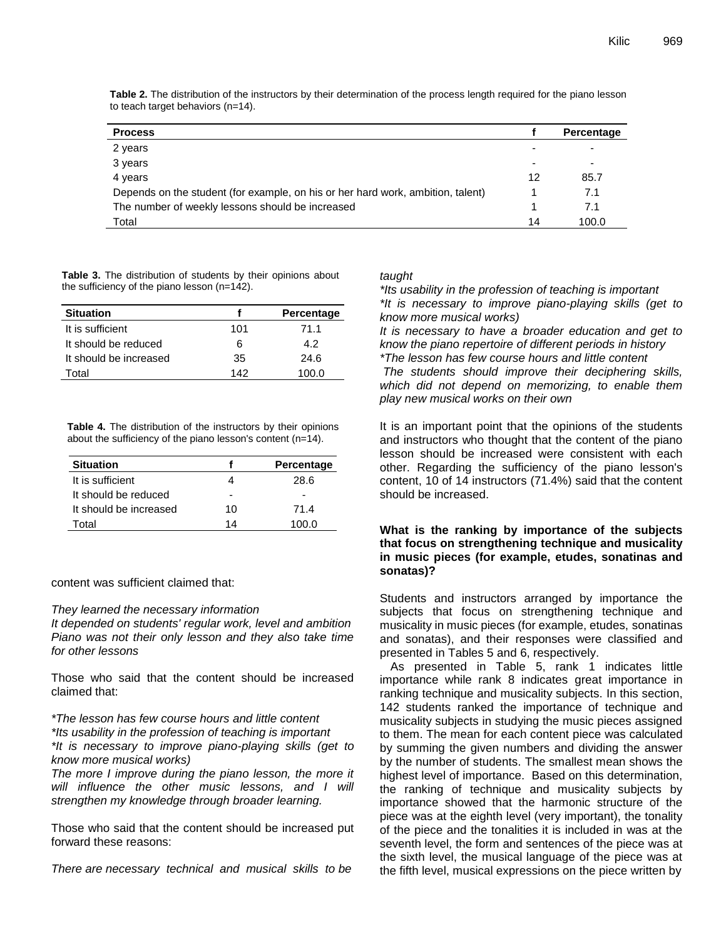| <b>Process</b>                                                                  |    | Percentage |
|---------------------------------------------------------------------------------|----|------------|
| 2 years                                                                         |    | -          |
| 3 years                                                                         |    | -          |
| 4 years                                                                         | 12 | 85.7       |
| Depends on the student (for example, on his or her hard work, ambition, talent) |    | 7.1        |
| The number of weekly lessons should be increased                                |    | 7.1        |
| Total                                                                           | 14 | 100.0      |

**Table 2.** The distribution of the instructors by their determination of the process length required for the piano lesson to teach target behaviors (n=14).

**Table 3.** The distribution of students by their opinions about the sufficiency of the piano lesson (n=142).

| <b>Situation</b>       |     | Percentage |
|------------------------|-----|------------|
| It is sufficient       | 101 | 71.1       |
| It should be reduced   | 6   | 4.2        |
| It should be increased | 35  | 24.6       |
| Total                  | 142 | 100.0      |

**Table 4.** The distribution of the instructors by their opinions about the sufficiency of the piano lesson's content (n=14).

| <b>Situation</b>       |    | Percentage |
|------------------------|----|------------|
| It is sufficient       |    | 28.6       |
| It should be reduced   |    |            |
| It should be increased | 10 | 71.4       |
| ⊺otal                  | 14 | 100 O      |

content was sufficient claimed that:

#### *They learned the necessary information*

*It depended on students' regular work, level and ambition Piano was not their only lesson and they also take time for other lessons*

Those who said that the content should be increased claimed that:

*\*The lesson has few course hours and little content \*Its usability in the profession of teaching is important \*It is necessary to improve piano-playing skills (get to know more musical works)*

*The more I improve during the piano lesson, the more it will influence the other music lessons, and I will strengthen my knowledge through broader learning.*

Those who said that the content should be increased put forward these reasons:

*There are necessary technical and musical skills to be* 

#### *taught*

*\*Its usability in the profession of teaching is important \*It is necessary to improve piano-playing skills (get to know more musical works)*

*It is necessary to have a broader education and get to know the piano repertoire of different periods in history \*The lesson has few course hours and little content The students should improve their deciphering skills, which did not depend on memorizing, to enable them play new musical works on their own*

It is an important point that the opinions of the students and instructors who thought that the content of the piano lesson should be increased were consistent with each other. Regarding the sufficiency of the piano lesson's content, 10 of 14 instructors (71.4%) said that the content should be increased.

### **What is the ranking by importance of the subjects that focus on strengthening technique and musicality in music pieces (for example, etudes, sonatinas and sonatas)?**

Students and instructors arranged by importance the subjects that focus on strengthening technique and musicality in music pieces (for example, etudes, sonatinas and sonatas), and their responses were classified and presented in Tables 5 and 6, respectively.

As presented in Table 5, rank 1 indicates little importance while rank 8 indicates great importance in ranking technique and musicality subjects. In this section, 142 students ranked the importance of technique and musicality subjects in studying the music pieces assigned to them. The mean for each content piece was calculated by summing the given numbers and dividing the answer by the number of students. The smallest mean shows the highest level of importance. Based on this determination, the ranking of technique and musicality subjects by importance showed that the harmonic structure of the piece was at the eighth level (very important), the tonality of the piece and the tonalities it is included in was at the seventh level, the form and sentences of the piece was at the sixth level, the musical language of the piece was at the fifth level, musical expressions on the piece written by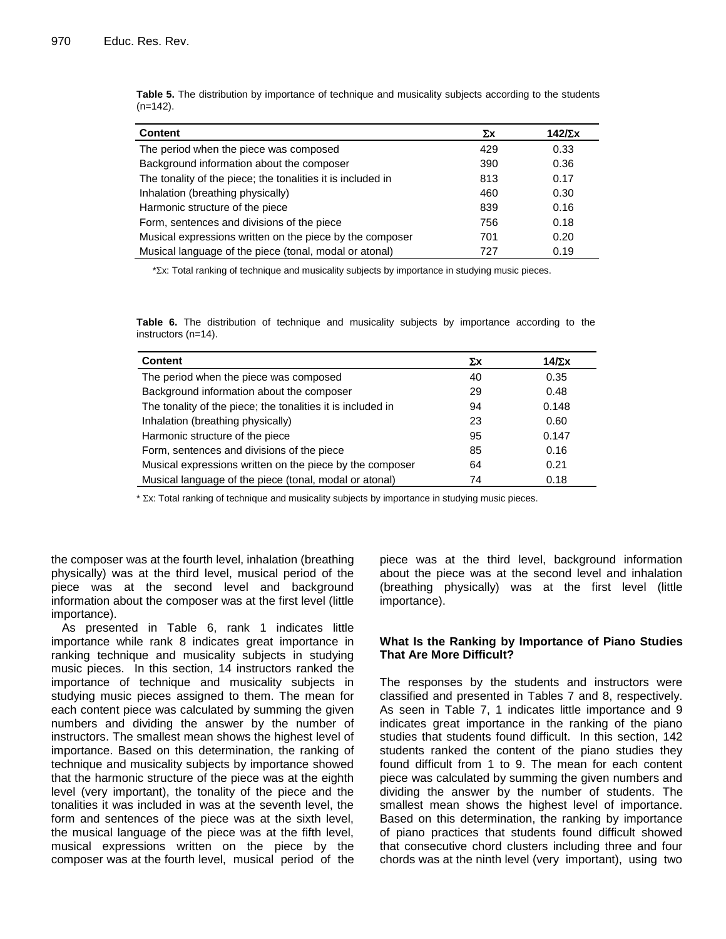| <b>Content</b>                                              | Σχ  | 142 $\nabla$ x |
|-------------------------------------------------------------|-----|----------------|
| The period when the piece was composed                      | 429 | 0.33           |
| Background information about the composer                   | 390 | 0.36           |
| The tonality of the piece; the tonalities it is included in | 813 | 0.17           |
| Inhalation (breathing physically)                           | 460 | 0.30           |
| Harmonic structure of the piece                             | 839 | 0.16           |
| Form, sentences and divisions of the piece                  | 756 | 0.18           |
| Musical expressions written on the piece by the composer    | 701 | 0.20           |
| Musical language of the piece (tonal, modal or atonal)      | 727 | 0.19           |

**Table 5.** The distribution by importance of technique and musicality subjects according to the students (n=142).

\*x: Total ranking of technique and musicality subjects by importance in studying music pieces.

**Table 6.** The distribution of technique and musicality subjects by importance according to the instructors (n=14).

| <b>Content</b>                                              | Σχ | $14/\Sigma x$ |
|-------------------------------------------------------------|----|---------------|
| The period when the piece was composed                      | 40 | 0.35          |
| Background information about the composer                   | 29 | 0.48          |
| The tonality of the piece; the tonalities it is included in | 94 | 0.148         |
| Inhalation (breathing physically)                           | 23 | 0.60          |
| Harmonic structure of the piece                             | 95 | 0.147         |
| Form, sentences and divisions of the piece                  | 85 | 0.16          |
| Musical expressions written on the piece by the composer    | 64 | 0.21          |
| Musical language of the piece (tonal, modal or atonal)      | 74 | 0.18          |
|                                                             |    |               |

\*  $\Sigma x$ : Total ranking of technique and musicality subjects by importance in studying music pieces.

the composer was at the fourth level, inhalation (breathing physically) was at the third level, musical period of the piece was at the second level and background information about the composer was at the first level (little importance).

As presented in Table 6, rank 1 indicates little importance while rank 8 indicates great importance in ranking technique and musicality subjects in studying music pieces. In this section, 14 instructors ranked the importance of technique and musicality subjects in studying music pieces assigned to them. The mean for each content piece was calculated by summing the given numbers and dividing the answer by the number of instructors. The smallest mean shows the highest level of importance. Based on this determination, the ranking of technique and musicality subjects by importance showed that the harmonic structure of the piece was at the eighth level (very important), the tonality of the piece and the tonalities it was included in was at the seventh level, the form and sentences of the piece was at the sixth level, the musical language of the piece was at the fifth level, musical expressions written on the piece by the composer was at the fourth level, musical period of the piece was at the third level, background information about the piece was at the second level and inhalation (breathing physically) was at the first level (little importance).

#### **What Is the Ranking by Importance of Piano Studies That Are More Difficult?**

The responses by the students and instructors were classified and presented in Tables 7 and 8, respectively. As seen in Table 7, 1 indicates little importance and 9 indicates great importance in the ranking of the piano studies that students found difficult. In this section, 142 students ranked the content of the piano studies they found difficult from 1 to 9. The mean for each content piece was calculated by summing the given numbers and dividing the answer by the number of students. The smallest mean shows the highest level of importance. Based on this determination, the ranking by importance of piano practices that students found difficult showed that consecutive chord clusters including three and four chords was at the ninth level (very important), using two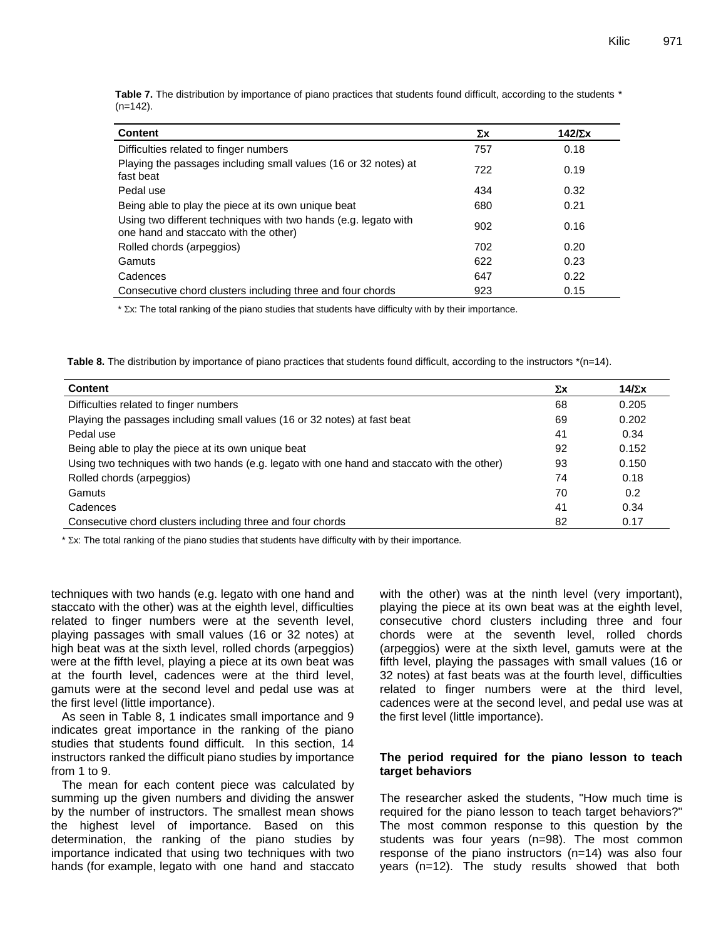|             | Table 7. The distribution by importance of piano practices that students found difficult, according to the students * |  |  |  |
|-------------|-----------------------------------------------------------------------------------------------------------------------|--|--|--|
| $(n=142)$ . |                                                                                                                       |  |  |  |

| <b>Content</b>                                                                                           | Σχ  | 142 $\nabla$ x |
|----------------------------------------------------------------------------------------------------------|-----|----------------|
| Difficulties related to finger numbers                                                                   | 757 | 0.18           |
| Playing the passages including small values (16 or 32 notes) at<br>fast beat                             | 722 | 0.19           |
| Pedal use                                                                                                | 434 | 0.32           |
| Being able to play the piece at its own unique beat                                                      | 680 | 0.21           |
| Using two different techniques with two hands (e.g. legato with<br>one hand and staccato with the other) | 902 | 0.16           |
| Rolled chords (arpeggios)                                                                                | 702 | 0.20           |
| Gamuts                                                                                                   | 622 | 0.23           |
| Cadences                                                                                                 | 647 | 0.22           |
| Consecutive chord clusters including three and four chords                                               | 923 | 0.15           |

\*  $\Sigma x$ : The total ranking of the piano studies that students have difficulty with by their importance.

**Table 8.** The distribution by importance of piano practices that students found difficult, according to the instructors \*(n=14).

| Content                                                                                     | Σχ | 14/ $\Sigma$ x |
|---------------------------------------------------------------------------------------------|----|----------------|
| Difficulties related to finger numbers                                                      | 68 | 0.205          |
| Playing the passages including small values (16 or 32 notes) at fast beat                   | 69 | 0.202          |
| Pedal use                                                                                   | 41 | 0.34           |
| Being able to play the piece at its own unique beat                                         | 92 | 0.152          |
| Using two techniques with two hands (e.g. legato with one hand and staccato with the other) | 93 | 0.150          |
| Rolled chords (arpeggios)                                                                   | 74 | 0.18           |
| Gamuts                                                                                      | 70 | 0.2            |
| Cadences                                                                                    | 41 | 0.34           |
| Consecutive chord clusters including three and four chords                                  | 82 | 0.17           |

\*  $\Sigma$ x: The total ranking of the piano studies that students have difficulty with by their importance.

techniques with two hands (e.g. legato with one hand and staccato with the other) was at the eighth level, difficulties related to finger numbers were at the seventh level, playing passages with small values (16 or 32 notes) at high beat was at the sixth level, rolled chords (arpeggios) were at the fifth level, playing a piece at its own beat was at the fourth level, cadences were at the third level, gamuts were at the second level and pedal use was at the first level (little importance).

As seen in Table 8, 1 indicates small importance and 9 indicates great importance in the ranking of the piano studies that students found difficult. In this section, 14 instructors ranked the difficult piano studies by importance from 1 to 9.

The mean for each content piece was calculated by summing up the given numbers and dividing the answer by the number of instructors. The smallest mean shows the highest level of importance. Based on this determination, the ranking of the piano studies by importance indicated that using two techniques with two hands (for example, legato with one hand and staccato with the other) was at the ninth level (very important), playing the piece at its own beat was at the eighth level, consecutive chord clusters including three and four chords were at the seventh level, rolled chords (arpeggios) were at the sixth level, gamuts were at the fifth level, playing the passages with small values (16 or 32 notes) at fast beats was at the fourth level, difficulties related to finger numbers were at the third level, cadences were at the second level, and pedal use was at the first level (little importance).

#### **The period required for the piano lesson to teach target behaviors**

The researcher asked the students, "How much time is required for the piano lesson to teach target behaviors?" The most common response to this question by the students was four years (n=98). The most common response of the piano instructors (n=14) was also four years (n=12). The study results showed that both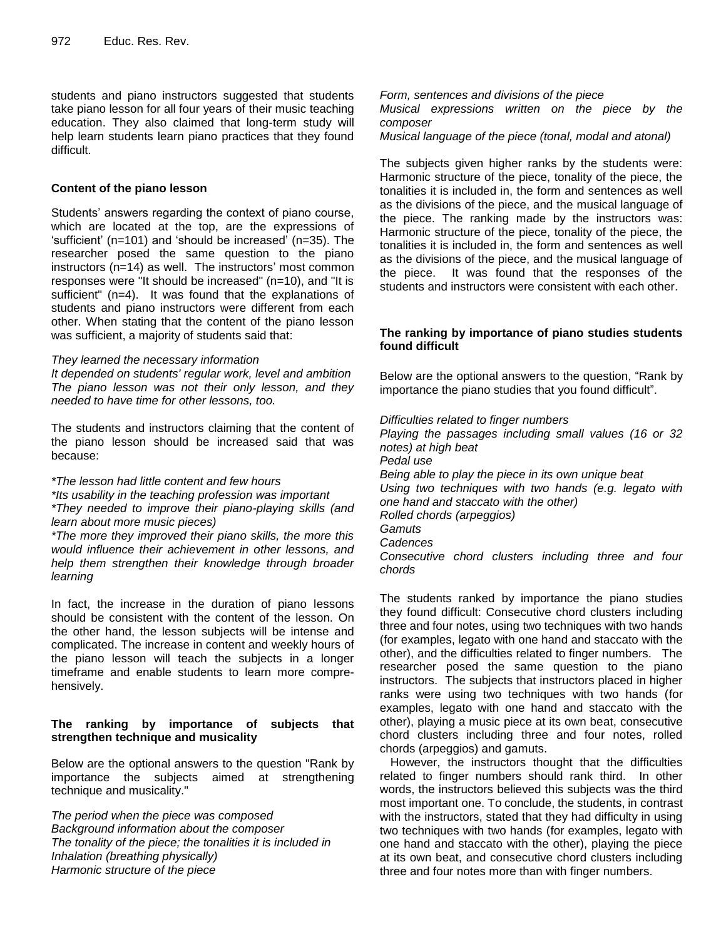students and piano instructors suggested that students take piano lesson for all four years of their music teaching education. They also claimed that long-term study will help learn students learn piano practices that they found difficult.

# **Content of the piano lesson**

Students' answers regarding the context of piano course, which are located at the top, are the expressions of 'sufficient' (n=101) and 'should be increased' (n=35). The researcher posed the same question to the piano instructors (n=14) as well. The instructors' most common responses were "It should be increased" (n=10), and "It is sufficient" (n=4). It was found that the explanations of students and piano instructors were different from each other. When stating that the content of the piano lesson was sufficient, a majority of students said that:

#### *They learned the necessary information*

*It depended on students' regular work, level and ambition The piano lesson was not their only lesson, and they needed to have time for other lessons, too.*

The students and instructors claiming that the content of the piano lesson should be increased said that was because:

#### *\*The lesson had little content and few hours*

*\*Its usability in the teaching profession was important \*They needed to improve their piano-playing skills (and learn about more music pieces)*

*\*The more they improved their piano skills, the more this would influence their achievement in other lessons, and help them strengthen their knowledge through broader learning*

In fact, the increase in the duration of piano lessons should be consistent with the content of the lesson. On the other hand, the lesson subjects will be intense and complicated. The increase in content and weekly hours of the piano lesson will teach the subjects in a longer timeframe and enable students to learn more comprehensively.

#### **The ranking by importance of subjects that strengthen technique and musicality**

Below are the optional answers to the question "Rank by importance the subjects aimed at strengthening technique and musicality."

*The period when the piece was composed Background information about the composer The tonality of the piece; the tonalities it is included in Inhalation (breathing physically) Harmonic structure of the piece*

*Form, sentences and divisions of the piece Musical expressions written on the piece by the composer*

*Musical language of the piece (tonal, modal and atonal)*

The subjects given higher ranks by the students were: Harmonic structure of the piece, tonality of the piece, the tonalities it is included in, the form and sentences as well as the divisions of the piece, and the musical language of the piece. The ranking made by the instructors was: Harmonic structure of the piece, tonality of the piece, the tonalities it is included in, the form and sentences as well as the divisions of the piece, and the musical language of the piece. It was found that the responses of the students and instructors were consistent with each other.

# **The ranking by importance of piano studies students found difficult**

Below are the optional answers to the question, "Rank by importance the piano studies that you found difficult".

*Difficulties related to finger numbers Playing the passages including small values (16 or 32 notes) at high beat Pedal use Being able to play the piece in its own unique beat Using two techniques with two hands (e.g. legato with one hand and staccato with the other) Rolled chords (arpeggios) Gamuts Cadences Consecutive chord clusters including three and four chords*

The students ranked by importance the piano studies they found difficult: Consecutive chord clusters including three and four notes, using two techniques with two hands (for examples, legato with one hand and staccato with the other), and the difficulties related to finger numbers. The researcher posed the same question to the piano instructors. The subjects that instructors placed in higher ranks were using two techniques with two hands (for examples, legato with one hand and staccato with the other), playing a music piece at its own beat, consecutive chord clusters including three and four notes, rolled chords (arpeggios) and gamuts.

However, the instructors thought that the difficulties related to finger numbers should rank third. In other words, the instructors believed this subjects was the third most important one. To conclude, the students, in contrast with the instructors, stated that they had difficulty in using two techniques with two hands (for examples, legato with one hand and staccato with the other), playing the piece at its own beat, and consecutive chord clusters including three and four notes more than with finger numbers.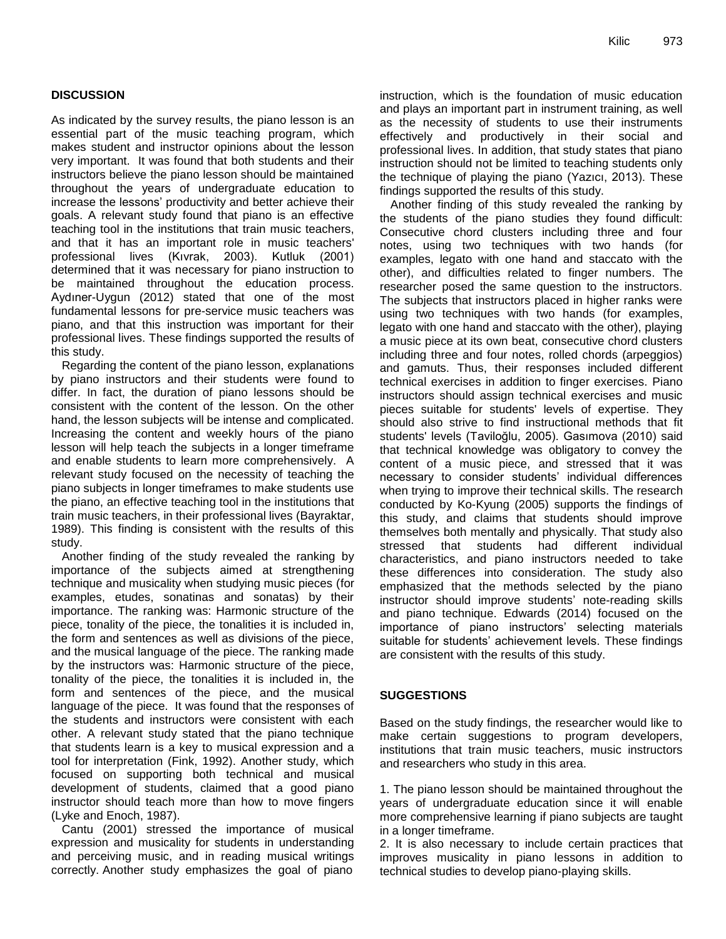# **DISCUSSION**

As indicated by the survey results, the piano lesson is an essential part of the music teaching program, which makes student and instructor opinions about the lesson very important. It was found that both students and their instructors believe the piano lesson should be maintained throughout the years of undergraduate education to increase the lessons" productivity and better achieve their goals. A relevant study found that piano is an effective teaching tool in the institutions that train music teachers, and that it has an important role in music teachers' professional lives (Kıvrak, 2003). Kutluk (2001) determined that it was necessary for piano instruction to be maintained throughout the education process. Aydıner-Uygun (2012) stated that one of the most fundamental lessons for pre-service music teachers was piano, and that this instruction was important for their professional lives. These findings supported the results of this study.

Regarding the content of the piano lesson, explanations by piano instructors and their students were found to differ. In fact, the duration of piano lessons should be consistent with the content of the lesson. On the other hand, the lesson subjects will be intense and complicated. Increasing the content and weekly hours of the piano lesson will help teach the subjects in a longer timeframe and enable students to learn more comprehensively. A relevant study focused on the necessity of teaching the piano subjects in longer timeframes to make students use the piano, an effective teaching tool in the institutions that train music teachers, in their professional lives (Bayraktar, 1989). This finding is consistent with the results of this study.

Another finding of the study revealed the ranking by importance of the subjects aimed at strengthening technique and musicality when studying music pieces (for examples, etudes, sonatinas and sonatas) by their importance. The ranking was: Harmonic structure of the piece, tonality of the piece, the tonalities it is included in, the form and sentences as well as divisions of the piece, and the musical language of the piece. The ranking made by the instructors was: Harmonic structure of the piece, tonality of the piece, the tonalities it is included in, the form and sentences of the piece, and the musical language of the piece. It was found that the responses of the students and instructors were consistent with each other. A relevant study stated that the piano technique that students learn is a key to musical expression and a tool for interpretation (Fink, 1992). Another study, which focused on supporting both technical and musical development of students, claimed that a good piano instructor should teach more than how to move fingers (Lyke and Enoch, 1987).

Cantu (2001) stressed the importance of musical expression and musicality for students in understanding and perceiving music, and in reading musical writings correctly. Another study emphasizes the goal of piano

instruction, which is the foundation of music education and plays an important part in instrument training, as well as the necessity of students to use their instruments effectively and productively in their social and professional lives. In addition, that study states that piano instruction should not be limited to teaching students only the technique of playing the piano (Yazıcı, 2013). These findings supported the results of this study.

Another finding of this study revealed the ranking by the students of the piano studies they found difficult: Consecutive chord clusters including three and four notes, using two techniques with two hands (for examples, legato with one hand and staccato with the other), and difficulties related to finger numbers. The researcher posed the same question to the instructors. The subjects that instructors placed in higher ranks were using two techniques with two hands (for examples, legato with one hand and staccato with the other), playing a music piece at its own beat, consecutive chord clusters including three and four notes, rolled chords (arpeggios) and gamuts. Thus, their responses included different technical exercises in addition to finger exercises. Piano instructors should assign technical exercises and music pieces suitable for students' levels of expertise. They should also strive to find instructional methods that fit students' levels (Taviloğlu, 2005). Gasımova (2010) said that technical knowledge was obligatory to convey the content of a music piece, and stressed that it was necessary to consider students' individual differences when trying to improve their technical skills. The research conducted by Ko-Kyung (2005) supports the findings of this study, and claims that students should improve themselves both mentally and physically. That study also stressed that students had different individual characteristics, and piano instructors needed to take these differences into consideration. The study also emphasized that the methods selected by the piano instructor should improve students' note-reading skills and piano technique. Edwards (2014) focused on the importance of piano instructors" selecting materials suitable for students' achievement levels. These findings are consistent with the results of this study.

# **SUGGESTIONS**

Based on the study findings, the researcher would like to make certain suggestions to program developers, institutions that train music teachers, music instructors and researchers who study in this area.

1. The piano lesson should be maintained throughout the years of undergraduate education since it will enable more comprehensive learning if piano subjects are taught in a longer timeframe.

2. It is also necessary to include certain practices that improves musicality in piano lessons in addition to technical studies to develop piano-playing skills.